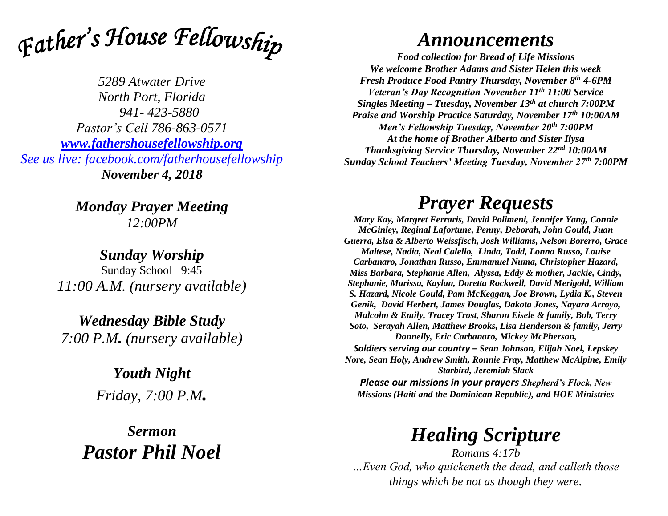

*5289 Atwater Drive North Port, Florida 941- 423-5880 Pastor's Cell 786-863-0571 [www.fathershousefellowship.org](http://www.fathershousefellowship.org/) See us live: facebook.com/fatherhousefellowship November 4, 2018*

> *Monday Prayer Meeting 12:00PM*

*Sunday Worship* Sunday School 9:45 *11:00 A.M. (nursery available)*

*Wednesday Bible Study 7:00 P.M. (nursery available)*

> *Youth Night Friday, 7:00 P.M.*

*Sermon Pastor Phil Noel*

## *Announcements*

*Food collection for Bread of Life Missions We welcome Brother Adams and Sister Helen this week Fresh Produce Food Pantry Thursday, November 8th 4-6PM Veteran's Day Recognition November 11th 11:00 Service Singles Meeting – Tuesday, November 13th at church 7:00PM Praise and Worship Practice Saturday, November 17th 10:00AM Men's Fellowship Tuesday, November 20th 7:00PM At the home of Brother Alberto and Sister Ilysa Thanksgiving Service Thursday, November 22nd 10:00AM Sunday School Teachers' Meeting Tuesday, November 27th 7:00PM*

## *Prayer Requests*

*Mary Kay, Margret Ferraris, David Polimeni, Jennifer Yang, Connie McGinley, Reginal Lafortune, Penny, Deborah, John Gould, Juan Guerra, Elsa & Alberto Weissfisch, Josh Williams, Nelson Borerro, Grace Maltese, Nadia, Neal Calello, Linda, Todd, Lonna Russo, Louise Carbanaro, Jonathan Russo, Emmanuel Numa, Christopher Hazard, Miss Barbara, Stephanie Allen, Alyssa, Eddy & mother, Jackie, Cindy, Stephanie, Marissa, Kaylan, Doretta Rockwell, David Merigold, William S. Hazard, Nicole Gould, Pam McKeggan, Joe Brown, Lydia K., Steven Genik, David Herbert, James Douglas, Dakota Jones, Nayara Arroyo, Malcolm & Emily, Tracey Trost, Sharon Eisele & family, Bob, Terry Soto, Serayah Allen, Matthew Brooks, Lisa Henderson & family, Jerry Donnelly, Eric Carbanaro, Mickey McPherson, Soldiers serving our country – Sean Johnson, Elijah Noel, Lepskey Nore, Sean Holy, Andrew Smith, Ronnie Fray, Matthew McAlpine, Emily Starbird, Jeremiah Slack*

*Please our missions in your prayers Shepherd's Flock, New Missions (Haiti and the Dominican Republic), and HOE Ministries*

## *Healing Scripture*

*Romans 4:17b …Even God, who quickeneth the dead, and calleth those things which be not as though they were.*